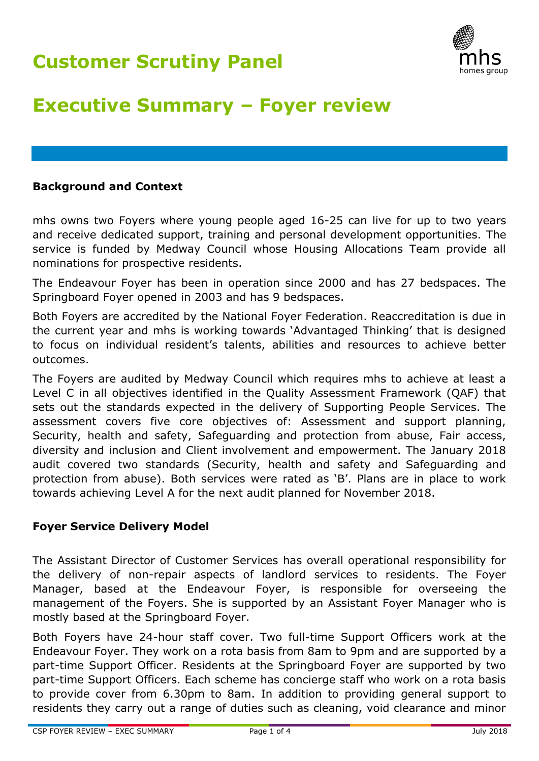

# **Executive Summary – Foyer review**

#### **Background and Context**

mhs owns two Foyers where young people aged 16-25 can live for up to two years and receive dedicated support, training and personal development opportunities. The service is funded by Medway Council whose Housing Allocations Team provide all nominations for prospective residents.

The Endeavour Foyer has been in operation since 2000 and has 27 bedspaces. The Springboard Foyer opened in 2003 and has 9 bedspaces.

Both Foyers are accredited by the National Foyer Federation. Reaccreditation is due in the current year and mhs is working towards 'Advantaged Thinking' that is designed to focus on individual resident's talents, abilities and resources to achieve better outcomes.

The Foyers are audited by Medway Council which requires mhs to achieve at least a Level C in all objectives identified in the Quality Assessment Framework (QAF) that sets out the standards expected in the delivery of Supporting People Services. The assessment covers five core objectives of: Assessment and support planning, Security, health and safety, Safeguarding and protection from abuse, Fair access, diversity and inclusion and Client involvement and empowerment. The January 2018 audit covered two standards (Security, health and safety and Safeguarding and protection from abuse). Both services were rated as 'B'. Plans are in place to work towards achieving Level A for the next audit planned for November 2018.

### **Foyer Service Delivery Model**

The Assistant Director of Customer Services has overall operational responsibility for the delivery of non-repair aspects of landlord services to residents. The Foyer Manager, based at the Endeavour Foyer, is responsible for overseeing the management of the Foyers. She is supported by an Assistant Foyer Manager who is mostly based at the Springboard Foyer.

Both Foyers have 24-hour staff cover. Two full-time Support Officers work at the Endeavour Foyer. They work on a rota basis from 8am to 9pm and are supported by a part-time Support Officer. Residents at the Springboard Foyer are supported by two part-time Support Officers. Each scheme has concierge staff who work on a rota basis to provide cover from 6.30pm to 8am. In addition to providing general support to residents they carry out a range of duties such as cleaning, void clearance and minor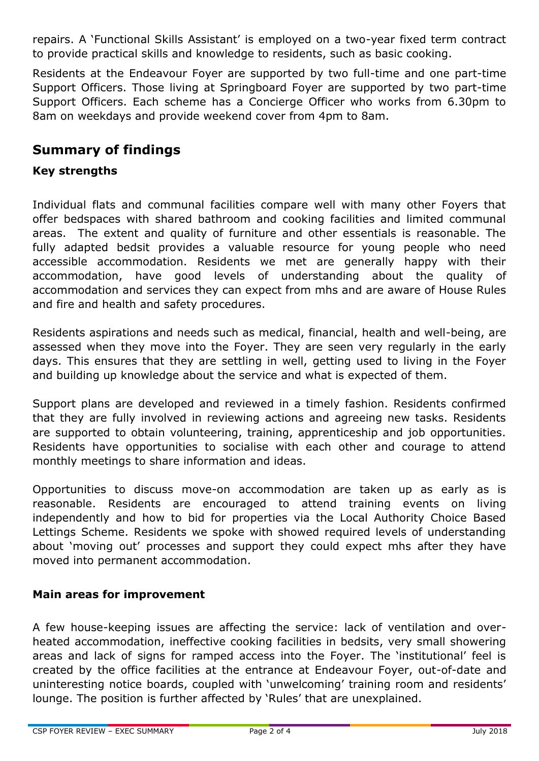repairs. A 'Functional Skills Assistant' is employed on a two-year fixed term contract to provide practical skills and knowledge to residents, such as basic cooking.

Residents at the Endeavour Foyer are supported by two full-time and one part-time Support Officers. Those living at Springboard Foyer are supported by two part-time Support Officers. Each scheme has a Concierge Officer who works from 6.30pm to 8am on weekdays and provide weekend cover from 4pm to 8am.

# **Summary of findings**

### **Key strengths**

Individual flats and communal facilities compare well with many other Foyers that offer bedspaces with shared bathroom and cooking facilities and limited communal areas. The extent and quality of furniture and other essentials is reasonable. The fully adapted bedsit provides a valuable resource for young people who need accessible accommodation. Residents we met are generally happy with their accommodation, have good levels of understanding about the quality of accommodation and services they can expect from mhs and are aware of House Rules and fire and health and safety procedures.

Residents aspirations and needs such as medical, financial, health and well-being, are assessed when they move into the Foyer. They are seen very regularly in the early days. This ensures that they are settling in well, getting used to living in the Foyer and building up knowledge about the service and what is expected of them.

Support plans are developed and reviewed in a timely fashion. Residents confirmed that they are fully involved in reviewing actions and agreeing new tasks. Residents are supported to obtain volunteering, training, apprenticeship and job opportunities. Residents have opportunities to socialise with each other and courage to attend monthly meetings to share information and ideas.

Opportunities to discuss move-on accommodation are taken up as early as is reasonable. Residents are encouraged to attend training events on living independently and how to bid for properties via the Local Authority Choice Based Lettings Scheme. Residents we spoke with showed required levels of understanding about 'moving out' processes and support they could expect mhs after they have moved into permanent accommodation.

### **Main areas for improvement**

A few house-keeping issues are affecting the service: lack of ventilation and overheated accommodation, ineffective cooking facilities in bedsits, very small showering areas and lack of signs for ramped access into the Foyer. The 'institutional' feel is created by the office facilities at the entrance at Endeavour Foyer, out-of-date and uninteresting notice boards, coupled with 'unwelcoming' training room and residents' lounge. The position is further affected by 'Rules' that are unexplained.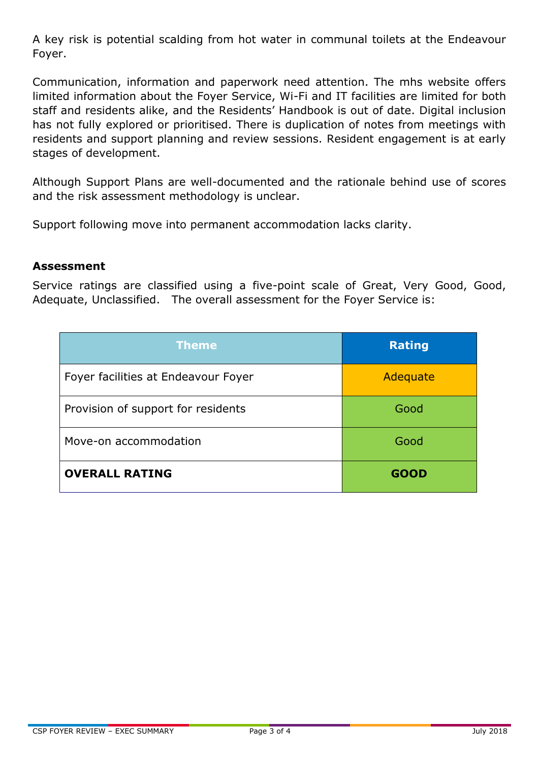A key risk is potential scalding from hot water in communal toilets at the Endeavour Foyer.

Communication, information and paperwork need attention. The mhs website offers limited information about the Foyer Service, Wi-Fi and IT facilities are limited for both staff and residents alike, and the Residents' Handbook is out of date. Digital inclusion has not fully explored or prioritised. There is duplication of notes from meetings with residents and support planning and review sessions. Resident engagement is at early stages of development.

Although Support Plans are well-documented and the rationale behind use of scores and the risk assessment methodology is unclear.

Support following move into permanent accommodation lacks clarity.

#### **Assessment**

Service ratings are classified using a five-point scale of Great, Very Good, Good, Adequate, Unclassified. The overall assessment for the Foyer Service is:

| <b>Theme</b>                        | <b>Rating</b> |
|-------------------------------------|---------------|
| Foyer facilities at Endeavour Foyer | Adequate      |
| Provision of support for residents  | Good          |
| Move-on accommodation               | Good          |
| <b>OVERALL RATING</b>               | <b>GOOD</b>   |